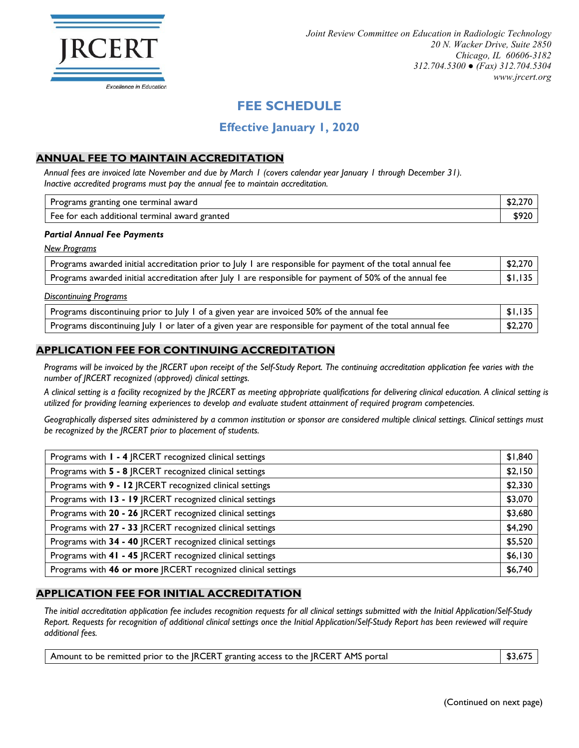

# **FEE SCHEDULE**

## **Effective January 1, 2020**

## **ANNUAL FEE TO MAINTAIN ACCREDITATION**

*Annual fees are invoiced late November and due by March 1 (covers calendar year January 1 through December 31). Inactive accredited programs must pay the annual fee to maintain accreditation.*

| s granting one terminal award<br>Programs      |  |
|------------------------------------------------|--|
| Fee for each additional terminal award granted |  |

#### *Partial Annual Fee Payments*

*New Programs*

| Programs awarded initial accreditation prior to July 1 are responsible for payment of the total annual fee | \$2,270 |
|------------------------------------------------------------------------------------------------------------|---------|
| Programs awarded initial accreditation after July 1 are responsible for payment of 50% of the annual fee   | \$1,135 |

#### *Discontinuing Programs*

| Programs discontinuing prior to July 1 of a given year are invoiced 50% of the annual fee                  | $1$ \$1,135 |
|------------------------------------------------------------------------------------------------------------|-------------|
| Programs discontinuing July 1 or later of a given year are responsible for payment of the total annual fee | \$2,270     |

### **APPLICATION FEE FOR CONTINUING ACCREDITATION**

*Programs will be invoiced by the JRCERT upon receipt of the Self-Study Report. The continuing accreditation application fee varies with the number of JRCERT recognized (approved) clinical settings.*

*A clinical setting is a facility recognized by the JRCERT as meeting appropriate qualifications for delivering clinical education. A clinical setting is utilized for providing learning experiences to develop and evaluate student attainment of required program competencies.*

*Geographically dispersed sites administered by a common institution or sponsor are considered multiple clinical settings. Clinical settings must be recognized by the JRCERT prior to placement of students.*

| Programs with I - 4   RCERT recognized clinical settings     | \$1,840 |
|--------------------------------------------------------------|---------|
| Programs with 5 - 8  RCERT recognized clinical settings      | \$2,150 |
| Programs with 9 - 12 JRCERT recognized clinical settings     | \$2,330 |
| Programs with 13 - 19 JRCERT recognized clinical settings    | \$3,070 |
| Programs with 20 - 26 JRCERT recognized clinical settings    | \$3,680 |
| Programs with 27 - 33 JRCERT recognized clinical settings    | \$4,290 |
| Programs with 34 - 40 JRCERT recognized clinical settings    | \$5,520 |
| Programs with 41 - 45   RCERT recognized clinical settings   | \$6,130 |
| Programs with 46 or more JRCERT recognized clinical settings | \$6,740 |

#### **APPLICATION FEE FOR INITIAL ACCREDITATION**

*The initial accreditation application fee includes recognition requests for all clinical settings submitted with the Initial Application/Self-Study Report. Requests for recognition of additional clinical settings once the Initial Application/Self-Study Report has been reviewed will require additional fees.*

| Amount to be remitted prior to the JRCERT granting access to the JRCERT AMS portal | \$3,675 |
|------------------------------------------------------------------------------------|---------|
|                                                                                    |         |